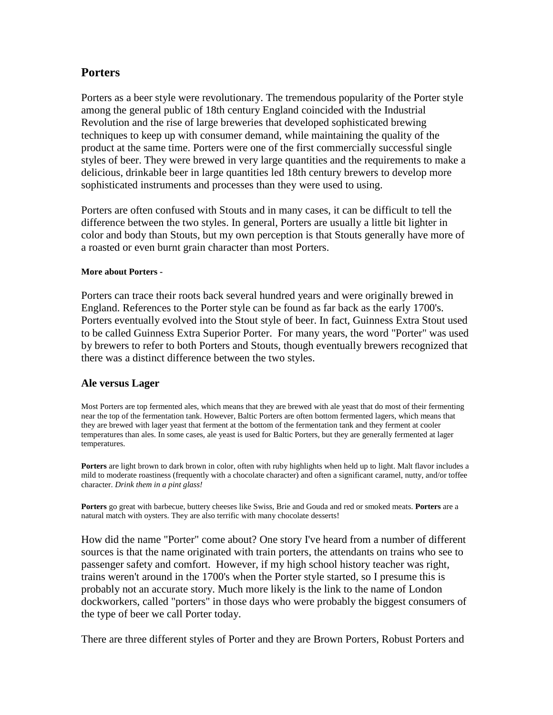## **Porters**

Porters as a beer style were revolutionary. The tremendous popularity of the Porter style among the general public of 18th century England coincided with the Industrial Revolution and the rise of large breweries that developed sophisticated brewing techniques to keep up with consumer demand, while maintaining the quality of the product at the same time. Porters were one of the first commercially successful single styles of beer. They were brewed in very large quantities and the requirements to make a delicious, drinkable beer in large quantities led 18th century brewers to develop more sophisticated instruments and processes than they were used to using.

Porters are often confused with Stouts and in many cases, it can be difficult to tell the difference between the two styles. In general, Porters are usually a little bit lighter in color and body than Stouts, but my own perception is that Stouts generally have more of a roasted or even burnt grain character than most Porters.

## **More about Porters -**

Porters can trace their roots back several hundred years and were originally brewed in England. References to the Porter style can be found as far back as the early 1700's. Porters eventually evolved into the Stout style of beer. In fact, Guinness Extra Stout used to be called Guinness Extra Superior Porter. For many years, the word "Porter" was used by brewers to refer to both Porters and Stouts, though eventually brewers recognized that there was a distinct difference between the two styles.

## **Ale versus Lager**

Most Porters are top fermented ales, which means that they are brewed with ale yeast that do most of their fermenting near the top of the fermentation tank. However, Baltic Porters are often bottom fermented lagers, which means that they are brewed with lager yeast that ferment at the bottom of the fermentation tank and they ferment at cooler temperatures than ales. In some cases, ale yeast is used for Baltic Porters, but they are generally fermented at lager temperatures.

**Porters** are light brown to dark brown in color, often with ruby highlights when held up to light. Malt flavor includes a mild to moderate roastiness (frequently with a chocolate character) and often a significant caramel, nutty, and/or toffee character. *Drink them in a pint glass!*

**Porters** go great with barbecue, buttery cheeses like Swiss, Brie and Gouda and red or smoked meats. **Porters** are a natural match with oysters. They are also terrific with many chocolate desserts!

How did the name "Porter" come about? One story I've heard from a number of different sources is that the name originated with train porters, the attendants on trains who see to passenger safety and comfort. However, if my high school history teacher was right, trains weren't around in the 1700's when the Porter style started, so I presume this is probably not an accurate story. Much more likely is the link to the name of London dockworkers, called "porters" in those days who were probably the biggest consumers of the type of beer we call Porter today.

There are three different styles of Porter and they are Brown Porters, Robust Porters and